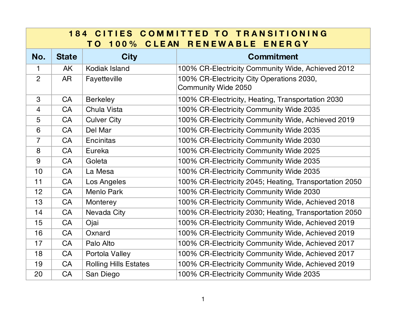| 184 CITIES COMMITTED TO TRANSITIONING<br><b>CLEAN</b><br>RENEWABLE ENERGY<br>$100\%$<br>T O |              |                              |                                                                  |  |
|---------------------------------------------------------------------------------------------|--------------|------------------------------|------------------------------------------------------------------|--|
| No.                                                                                         | <b>State</b> | <b>City</b>                  | <b>Commitment</b>                                                |  |
| $\mathbf{1}$                                                                                | <b>AK</b>    | Kodiak Island                | 100% CR-Electricity Community Wide, Achieved 2012                |  |
| $\overline{2}$                                                                              | <b>AR</b>    | Fayetteville                 | 100% CR-Electricity City Operations 2030,<br>Community Wide 2050 |  |
| 3                                                                                           | CA           | <b>Berkeley</b>              | 100% CR-Electricity, Heating, Transportation 2030                |  |
| $\overline{4}$                                                                              | CA           | Chula Vista                  | 100% CR-Electricity Community Wide 2035                          |  |
| 5                                                                                           | CA           | <b>Culver City</b>           | 100% CR-Electricity Community Wide, Achieved 2019                |  |
| 6                                                                                           | CA           | Del Mar                      | 100% CR-Electricity Community Wide 2035                          |  |
| $\overline{7}$                                                                              | <b>CA</b>    | Encinitas                    | 100% CR-Electricity Community Wide 2030                          |  |
| 8                                                                                           | <b>CA</b>    | Eureka                       | 100% CR-Electricity Community Wide 2025                          |  |
| 9                                                                                           | <b>CA</b>    | Goleta                       | 100% CR-Electricity Community Wide 2035                          |  |
| 10                                                                                          | <b>CA</b>    | La Mesa                      | 100% CR-Electricity Community Wide 2035                          |  |
| 11                                                                                          | <b>CA</b>    | Los Angeles                  | 100% CR-Electricity 2045; Heating, Transportation 2050           |  |
| 12                                                                                          | CA           | <b>Menlo Park</b>            | 100% CR-Electricity Community Wide 2030                          |  |
| 13                                                                                          | CA           | Monterey                     | 100% CR-Electricity Community Wide, Achieved 2018                |  |
| 14                                                                                          | CA           | Nevada City                  | 100% CR-Electricity 2030; Heating, Transportation 2050           |  |
| 15                                                                                          | <b>CA</b>    | Ojai                         | 100% CR-Electricity Community Wide, Achieved 2019                |  |
| 16                                                                                          | CA           | Oxnard                       | 100% CR-Electricity Community Wide, Achieved 2019                |  |
| 17                                                                                          | CA           | Palo Alto                    | 100% CR-Electricity Community Wide, Achieved 2017                |  |
| 18                                                                                          | <b>CA</b>    | Portola Valley               | 100% CR-Electricity Community Wide, Achieved 2017                |  |
| 19                                                                                          | CA           | <b>Rolling Hills Estates</b> | 100% CR-Electricity Community Wide, Achieved 2019                |  |
| 20                                                                                          | CA           | San Diego                    | 100% CR-Electricity Community Wide 2035                          |  |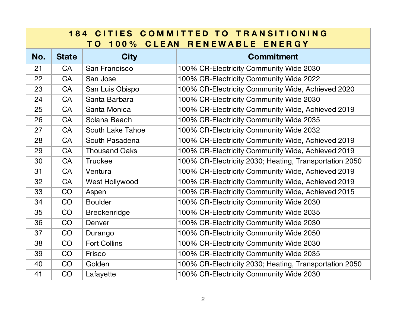| CITIES COMMITTED TO TRANSITIONING<br>184<br>RENEWABLE ENERGY<br><b>CLEAN</b><br>$100\%$<br>T O |              |                      |                                                        |  |
|------------------------------------------------------------------------------------------------|--------------|----------------------|--------------------------------------------------------|--|
| No.                                                                                            | <b>State</b> | <b>City</b>          | <b>Commitment</b>                                      |  |
| 21                                                                                             | <b>CA</b>    | San Francisco        | 100% CR-Electricity Community Wide 2030                |  |
| 22                                                                                             | CA           | San Jose             | 100% CR-Electricity Community Wide 2022                |  |
| 23                                                                                             | CA           | San Luis Obispo      | 100% CR-Electricity Community Wide, Achieved 2020      |  |
| 24                                                                                             | CA           | Santa Barbara        | 100% CR-Electricity Community Wide 2030                |  |
| 25                                                                                             | CA           | Santa Monica         | 100% CR-Electricity Community Wide, Achieved 2019      |  |
| 26                                                                                             | CA           | Solana Beach         | 100% CR-Electricity Community Wide 2035                |  |
| 27                                                                                             | CA           | South Lake Tahoe     | 100% CR-Electricity Community Wide 2032                |  |
| 28                                                                                             | CA           | South Pasadena       | 100% CR-Electricity Community Wide, Achieved 2019      |  |
| 29                                                                                             | CA           | <b>Thousand Oaks</b> | 100% CR-Electricity Community Wide, Achieved 2019      |  |
| 30                                                                                             | CA           | <b>Truckee</b>       | 100% CR-Electricity 2030; Heating, Transportation 2050 |  |
| 31                                                                                             | CA           | Ventura              | 100% CR-Electricity Community Wide, Achieved 2019      |  |
| 32                                                                                             | CA           | West Hollywood       | 100% CR-Electricity Community Wide, Achieved 2019      |  |
| 33                                                                                             | CO           | Aspen                | 100% CR-Electricity Community Wide, Achieved 2015      |  |
| 34                                                                                             | CO           | <b>Boulder</b>       | 100% CR-Electricity Community Wide 2030                |  |
| 35                                                                                             | CO           | <b>Breckenridge</b>  | 100% CR-Electricity Community Wide 2035                |  |
| 36                                                                                             | CO           | Denver               | 100% CR-Electricity Community Wide 2030                |  |
| 37                                                                                             | CO           | Durango              | 100% CR-Electricity Community Wide 2050                |  |
| 38                                                                                             | CO           | <b>Fort Collins</b>  | 100% CR-Electricity Community Wide 2030                |  |
| 39                                                                                             | CO           | Frisco               | 100% CR-Electricity Community Wide 2035                |  |
| 40                                                                                             | CO           | Golden               | 100% CR-Electricity 2030; Heating, Transportation 2050 |  |
| 41                                                                                             | CO           | Lafayette            | 100% CR-Electricity Community Wide 2030                |  |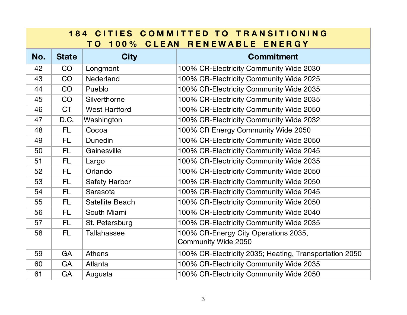| <b>184 CITIES COMMITTED TO TRANSITIONING</b><br><b>CLEAN</b><br>RENEWABLE ENERGY<br>$100\%$<br>T O |              |                        |                                                             |  |
|----------------------------------------------------------------------------------------------------|--------------|------------------------|-------------------------------------------------------------|--|
| No.                                                                                                | <b>State</b> | <b>City</b>            | <b>Commitment</b>                                           |  |
| 42                                                                                                 | CO           | Longmont               | 100% CR-Electricity Community Wide 2030                     |  |
| 43                                                                                                 | CO           | Nederland              | 100% CR-Electricity Community Wide 2025                     |  |
| 44                                                                                                 | CO           | Pueblo                 | 100% CR-Electricity Community Wide 2035                     |  |
| 45                                                                                                 | CO           | Silverthorne           | 100% CR-Electricity Community Wide 2035                     |  |
| 46                                                                                                 | <b>CT</b>    | <b>West Hartford</b>   | 100% CR-Electricity Community Wide 2050                     |  |
| 47                                                                                                 | D.C.         | Washington             | 100% CR-Electricity Community Wide 2032                     |  |
| 48                                                                                                 | FL.          | Cocoa                  | 100% CR Energy Community Wide 2050                          |  |
| 49                                                                                                 | FL.          | Dunedin                | 100% CR-Electricity Community Wide 2050                     |  |
| 50                                                                                                 | FL.          | Gainesville            | 100% CR-Electricity Community Wide 2045                     |  |
| 51                                                                                                 | FL.          | Largo                  | 100% CR-Electricity Community Wide 2035                     |  |
| 52                                                                                                 | FL.          | Orlando                | 100% CR-Electricity Community Wide 2050                     |  |
| 53                                                                                                 | FL.          | <b>Safety Harbor</b>   | 100% CR-Electricity Community Wide 2050                     |  |
| 54                                                                                                 | <b>FL</b>    | Sarasota               | 100% CR-Electricity Community Wide 2045                     |  |
| 55                                                                                                 | FL.          | <b>Satellite Beach</b> | 100% CR-Electricity Community Wide 2050                     |  |
| 56                                                                                                 | FL.          | South Miami            | 100% CR-Electricity Community Wide 2040                     |  |
| 57                                                                                                 | FL.          | St. Petersburg         | 100% CR-Electricity Community Wide 2035                     |  |
| 58                                                                                                 | <b>FL</b>    | <b>Tallahassee</b>     | 100% CR-Energy City Operations 2035,<br>Community Wide 2050 |  |
| 59                                                                                                 | GA           | <b>Athens</b>          | 100% CR-Electricity 2035; Heating, Transportation 2050      |  |
| 60                                                                                                 | GA           | Atlanta                | 100% CR-Electricity Community Wide 2035                     |  |
| 61                                                                                                 | GA           | Augusta                | 100% CR-Electricity Community Wide 2050                     |  |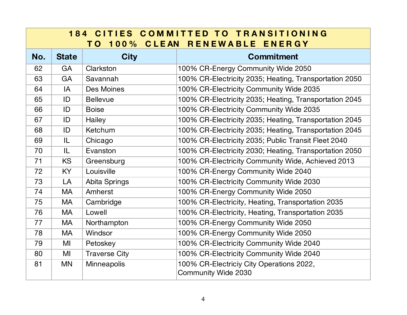| 184 CITIES COMMITTED TO TRANSITIONING<br><b>100% CLEAN</b><br>RENEWABLE ENERGY<br>TO T |              |                      |                                                                 |  |
|----------------------------------------------------------------------------------------|--------------|----------------------|-----------------------------------------------------------------|--|
| No.                                                                                    | <b>State</b> | <b>City</b>          | <b>Commitment</b>                                               |  |
| 62                                                                                     | GA           | Clarkston            | 100% CR-Energy Community Wide 2050                              |  |
| 63                                                                                     | GA           | Savannah             | 100% CR-Electricity 2035; Heating, Transportation 2050          |  |
| 64                                                                                     | IA           | Des Moines           | 100% CR-Electricity Community Wide 2035                         |  |
| 65                                                                                     | ID           | <b>Bellevue</b>      | 100% CR-Electricity 2035; Heating, Transportation 2045          |  |
| 66                                                                                     | ID           | <b>Boise</b>         | 100% CR-Electricity Community Wide 2035                         |  |
| 67                                                                                     | ID           | Hailey               | 100% CR-Electricity 2035; Heating, Transportation 2045          |  |
| 68                                                                                     | ID           | Ketchum              | 100% CR-Electricity 2035; Heating, Transportation 2045          |  |
| 69                                                                                     | IL           | Chicago              | 100% CR-Electricity 2035; Public Transit Fleet 2040             |  |
| 70                                                                                     | IL           | Evanston             | 100% CR-Electricity 2030; Heating, Transportation 2050          |  |
| 71                                                                                     | <b>KS</b>    | Greensburg           | 100% CR-Electricity Community Wide, Achieved 2013               |  |
| 72                                                                                     | KY           | Louisville           | 100% CR-Energy Community Wide 2040                              |  |
| 73                                                                                     | LA           | Abita Springs        | 100% CR-Electricity Community Wide 2030                         |  |
| 74                                                                                     | <b>MA</b>    | Amherst              | 100% CR-Energy Community Wide 2050                              |  |
| 75                                                                                     | <b>MA</b>    | Cambridge            | 100% CR-Electricity, Heating, Transportation 2035               |  |
| 76                                                                                     | <b>MA</b>    | Lowell               | 100% CR-Electricity, Heating, Transportation 2035               |  |
| 77                                                                                     | <b>MA</b>    | Northampton          | 100% CR-Energy Community Wide 2050                              |  |
| 78                                                                                     | <b>MA</b>    | Windsor              | 100% CR-Energy Community Wide 2050                              |  |
| 79                                                                                     | MI           | Petoskey             | 100% CR-Electricity Community Wide 2040                         |  |
| 80                                                                                     | MI           | <b>Traverse City</b> | 100% CR-Electricity Community Wide 2040                         |  |
| 81                                                                                     | <b>MN</b>    | Minneapolis          | 100% CR-Electriciy City Operations 2022,<br>Community Wide 2030 |  |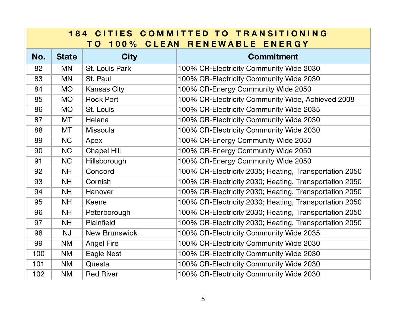| <b>184 CITIES COMMITTED TO TRANSITIONING</b><br><b>100% CLEAN</b><br>RENEWABLE ENERGY<br>T O |              |                      |                                                        |  |
|----------------------------------------------------------------------------------------------|--------------|----------------------|--------------------------------------------------------|--|
| No.                                                                                          | <b>State</b> | <b>City</b>          | <b>Commitment</b>                                      |  |
| 82                                                                                           | <b>MN</b>    | St. Louis Park       | 100% CR-Electricity Community Wide 2030                |  |
| 83                                                                                           | <b>MN</b>    | St. Paul             | 100% CR-Electricity Community Wide 2030                |  |
| 84                                                                                           | <b>MO</b>    | <b>Kansas City</b>   | 100% CR-Energy Community Wide 2050                     |  |
| 85                                                                                           | <b>MO</b>    | <b>Rock Port</b>     | 100% CR-Electricity Community Wide, Achieved 2008      |  |
| 86                                                                                           | <b>MO</b>    | St. Louis            | 100% CR-Electricity Community Wide 2035                |  |
| 87                                                                                           | <b>MT</b>    | Helena               | 100% CR-Electricity Community Wide 2030                |  |
| 88                                                                                           | <b>MT</b>    | <b>Missoula</b>      | 100% CR-Electricity Community Wide 2030                |  |
| 89                                                                                           | <b>NC</b>    | Apex                 | 100% CR-Energy Community Wide 2050                     |  |
| 90                                                                                           | <b>NC</b>    | <b>Chapel Hill</b>   | 100% CR-Energy Community Wide 2050                     |  |
| 91                                                                                           | <b>NC</b>    | Hillsborough         | 100% CR-Energy Community Wide 2050                     |  |
| 92                                                                                           | <b>NH</b>    | Concord              | 100% CR-Electricity 2035; Heating, Transportation 2050 |  |
| 93                                                                                           | <b>NH</b>    | Cornish              | 100% CR-Electricity 2030; Heating, Transportation 2050 |  |
| 94                                                                                           | <b>NH</b>    | Hanover              | 100% CR-Electricity 2030; Heating, Transportation 2050 |  |
| 95                                                                                           | <b>NH</b>    | <b>Keene</b>         | 100% CR-Electricity 2030; Heating, Transportation 2050 |  |
| 96                                                                                           | <b>NH</b>    | Peterborough         | 100% CR-Electricity 2030; Heating, Transportation 2050 |  |
| 97                                                                                           | <b>NH</b>    | Plainfield           | 100% CR-Electricity 2030; Heating, Transportation 2050 |  |
| 98                                                                                           | <b>NJ</b>    | <b>New Brunswick</b> | 100% CR-Electricity Community Wide 2035                |  |
| 99                                                                                           | <b>NM</b>    | <b>Angel Fire</b>    | 100% CR-Electricity Community Wide 2030                |  |
| 100                                                                                          | <b>NM</b>    | Eagle Nest           | 100% CR-Electricity Community Wide 2030                |  |
| 101                                                                                          | <b>NM</b>    | Questa               | 100% CR-Electricity Community Wide 2030                |  |
| 102                                                                                          | <b>NM</b>    | <b>Red River</b>     | 100% CR-Electricity Community Wide 2030                |  |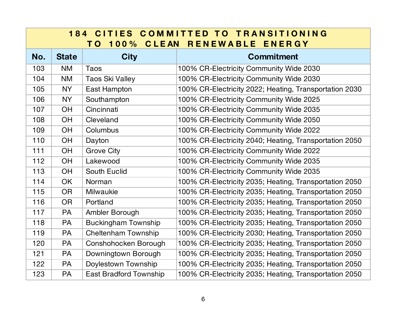| <b>184 CITIES COMMITTED TO TRANSITIONING</b><br><b>CLEAN</b><br>RENEWABLE ENERGY<br>100%<br>T O |              |                               |                                                        |  |
|-------------------------------------------------------------------------------------------------|--------------|-------------------------------|--------------------------------------------------------|--|
| No.                                                                                             | <b>State</b> | <b>City</b>                   | <b>Commitment</b>                                      |  |
| 103                                                                                             | <b>NM</b>    | Taos                          | 100% CR-Electricity Community Wide 2030                |  |
| 104                                                                                             | <b>NM</b>    | <b>Taos Ski Valley</b>        | 100% CR-Electricity Community Wide 2030                |  |
| 105                                                                                             | <b>NY</b>    | East Hampton                  | 100% CR-Electricity 2022; Heating, Transportation 2030 |  |
| 106                                                                                             | <b>NY</b>    | Southampton                   | 100% CR-Electricity Community Wide 2025                |  |
| 107                                                                                             | OH           | Cincinnati                    | 100% CR-Electricity Community Wide 2035                |  |
| 108                                                                                             | OH           | Cleveland                     | 100% CR-Electricity Community Wide 2050                |  |
| 109                                                                                             | OH           | Columbus                      | 100% CR-Electricity Community Wide 2022                |  |
| 110                                                                                             | OH           | Dayton                        | 100% CR-Electricity 2040; Heating, Transportation 2050 |  |
| 111                                                                                             | OH           | <b>Grove City</b>             | 100% CR-Electricity Community Wide 2022                |  |
| 112                                                                                             | OH           | Lakewood                      | 100% CR-Electricity Community Wide 2035                |  |
| 113                                                                                             | OH           | <b>South Euclid</b>           | 100% CR-Electricity Community Wide 2035                |  |
| 114                                                                                             | <b>OK</b>    | Norman                        | 100% CR-Electricity 2035; Heating, Transportation 2050 |  |
| 115                                                                                             | <b>OR</b>    | <b>Milwaukie</b>              | 100% CR-Electricity 2035; Heating, Transportation 2050 |  |
| 116                                                                                             | <b>OR</b>    | Portland                      | 100% CR-Electricity 2035; Heating, Transportation 2050 |  |
| 117                                                                                             | PA           | Ambler Borough                | 100% CR-Electricity 2035; Heating, Transportation 2050 |  |
| 118                                                                                             | <b>PA</b>    | <b>Buckingham Township</b>    | 100% CR-Electricity 2035; Heating, Transportation 2050 |  |
| 119                                                                                             | <b>PA</b>    | <b>Cheltenham Township</b>    | 100% CR-Electricity 2030; Heating, Transportation 2050 |  |
| 120                                                                                             | <b>PA</b>    | Conshohocken Borough          | 100% CR-Electricity 2035; Heating, Transportation 2050 |  |
| 121                                                                                             | <b>PA</b>    | Downingtown Borough           | 100% CR-Electricity 2035; Heating, Transportation 2050 |  |
| 122                                                                                             | <b>PA</b>    | Doylestown Township           | 100% CR-Electricity 2035; Heating, Transportation 2050 |  |
| 123                                                                                             | <b>PA</b>    | <b>East Bradford Township</b> | 100% CR-Electricity 2035; Heating, Transportation 2050 |  |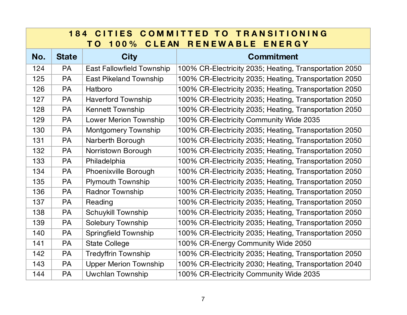| <b>184 CITIES COMMITTED TO TRANSITIONING</b><br>CLEAN RENEWABLE ENERGY<br>100%<br>T O |              |                                  |                                                        |  |
|---------------------------------------------------------------------------------------|--------------|----------------------------------|--------------------------------------------------------|--|
| No.                                                                                   | <b>State</b> | <b>City</b>                      | <b>Commitment</b>                                      |  |
| 124                                                                                   | <b>PA</b>    | <b>East Fallowfield Township</b> | 100% CR-Electricity 2035; Heating, Transportation 2050 |  |
| 125                                                                                   | <b>PA</b>    | <b>East Pikeland Township</b>    | 100% CR-Electricity 2035; Heating, Transportation 2050 |  |
| 126                                                                                   | <b>PA</b>    | Hatboro                          | 100% CR-Electricity 2035; Heating, Transportation 2050 |  |
| 127                                                                                   | PA           | <b>Haverford Township</b>        | 100% CR-Electricity 2035; Heating, Transportation 2050 |  |
| 128                                                                                   | <b>PA</b>    | <b>Kennett Township</b>          | 100% CR-Electricity 2035; Heating, Transportation 2050 |  |
| 129                                                                                   | PA           | <b>Lower Merion Township</b>     | 100% CR-Electricity Community Wide 2035                |  |
| 130                                                                                   | <b>PA</b>    | <b>Montgomery Township</b>       | 100% CR-Electricity 2035; Heating, Transportation 2050 |  |
| 131                                                                                   | <b>PA</b>    | Narberth Borough                 | 100% CR-Electricity 2035; Heating, Transportation 2050 |  |
| 132                                                                                   | PA           | Norristown Borough               | 100% CR-Electricity 2035; Heating, Transportation 2050 |  |
| 133                                                                                   | PA           | Philadelphia                     | 100% CR-Electricity 2035; Heating, Transportation 2050 |  |
| 134                                                                                   | <b>PA</b>    | Phoenixville Borough             | 100% CR-Electricity 2035; Heating, Transportation 2050 |  |
| 135                                                                                   | PA           | <b>Plymouth Township</b>         | 100% CR-Electricity 2035; Heating, Transportation 2050 |  |
| 136                                                                                   | PA           | <b>Radnor Township</b>           | 100% CR-Electricity 2035; Heating, Transportation 2050 |  |
| 137                                                                                   | <b>PA</b>    | Reading                          | 100% CR-Electricity 2035; Heating, Transportation 2050 |  |
| 138                                                                                   | PA           | <b>Schuykill Township</b>        | 100% CR-Electricity 2035; Heating, Transportation 2050 |  |
| 139                                                                                   | PA           | <b>Solebury Township</b>         | 100% CR-Electricity 2035; Heating, Transportation 2050 |  |
| 140                                                                                   | PA           | <b>Springfield Township</b>      | 100% CR-Electricity 2035; Heating, Transportation 2050 |  |
| 141                                                                                   | PA           | <b>State College</b>             | 100% CR-Energy Community Wide 2050                     |  |
| 142                                                                                   | <b>PA</b>    | <b>Tredyffrin Township</b>       | 100% CR-Electricity 2035; Heating, Transportation 2050 |  |
| 143                                                                                   | <b>PA</b>    | <b>Upper Merion Township</b>     | 100% CR-Electricity 2030; Heating, Transportation 2040 |  |
| 144                                                                                   | PA           | <b>Uwchlan Township</b>          | 100% CR-Electricity Community Wide 2035                |  |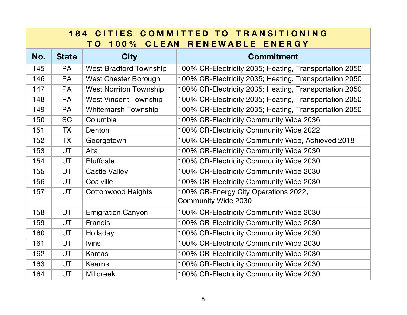| <b>184 CITIES COMMITTED TO TRANSITIONING</b><br>CLEAN RENEWABLE ENERGY<br>$100\%$<br>T O |              |                               |                                                             |  |
|------------------------------------------------------------------------------------------|--------------|-------------------------------|-------------------------------------------------------------|--|
| No.                                                                                      | <b>State</b> | <b>City</b>                   | <b>Commitment</b>                                           |  |
| 145                                                                                      | <b>PA</b>    | <b>West Bradford Township</b> | 100% CR-Electricity 2035; Heating, Transportation 2050      |  |
| 146                                                                                      | PA           | <b>West Chester Borough</b>   | 100% CR-Electricity 2035; Heating, Transportation 2050      |  |
| 147                                                                                      | <b>PA</b>    | <b>West Norriton Township</b> | 100% CR-Electricity 2035; Heating, Transportation 2050      |  |
| 148                                                                                      | <b>PA</b>    | <b>West Vincent Township</b>  | 100% CR-Electricity 2035; Heating, Transportation 2050      |  |
| 149                                                                                      | PA           | <b>Whitemarsh Township</b>    | 100% CR-Electricity 2035; Heating, Transportation 2050      |  |
| 150                                                                                      | <b>SC</b>    | Columbia                      | 100% CR-Electricity Community Wide 2036                     |  |
| 151                                                                                      | <b>TX</b>    | Denton                        | 100% CR-Electricity Community Wide 2022                     |  |
| 152                                                                                      | <b>TX</b>    | Georgetown                    | 100% CR-Electricity Community Wide, Achieved 2018           |  |
| 153                                                                                      | UT           | Alta                          | 100% CR-Electricity Community Wide 2030                     |  |
| 154                                                                                      | UT           | <b>Bluffdale</b>              | 100% CR-Electricity Community Wide 2030                     |  |
| 155                                                                                      | <b>UT</b>    | <b>Castle Valley</b>          | 100% CR-Electricity Community Wide 2030                     |  |
| 156                                                                                      | <b>UT</b>    | Coalville                     | 100% CR-Electricity Community Wide 2030                     |  |
| 157                                                                                      | UT           | <b>Cottonwood Heights</b>     | 100% CR-Energy City Operations 2022,<br>Community Wide 2030 |  |
| 158                                                                                      | <b>UT</b>    | <b>Emigration Canyon</b>      | 100% CR-Electricity Community Wide 2030                     |  |
| 159                                                                                      | <b>UT</b>    | Francis                       | 100% CR-Electricity Community Wide 2030                     |  |
| 160                                                                                      | UT           | Holladay                      | 100% CR-Electricity Community Wide 2030                     |  |
| 161                                                                                      | UT           | <b>Ivins</b>                  | 100% CR-Electricity Community Wide 2030                     |  |
| 162                                                                                      | <b>UT</b>    | Kamas                         | 100% CR-Electricity Community Wide 2030                     |  |
| 163                                                                                      | UT           | Kearns                        | 100% CR-Electricity Community Wide 2030                     |  |
| 164                                                                                      | UT           | <b>Millcreek</b>              | 100% CR-Electricity Community Wide 2030                     |  |